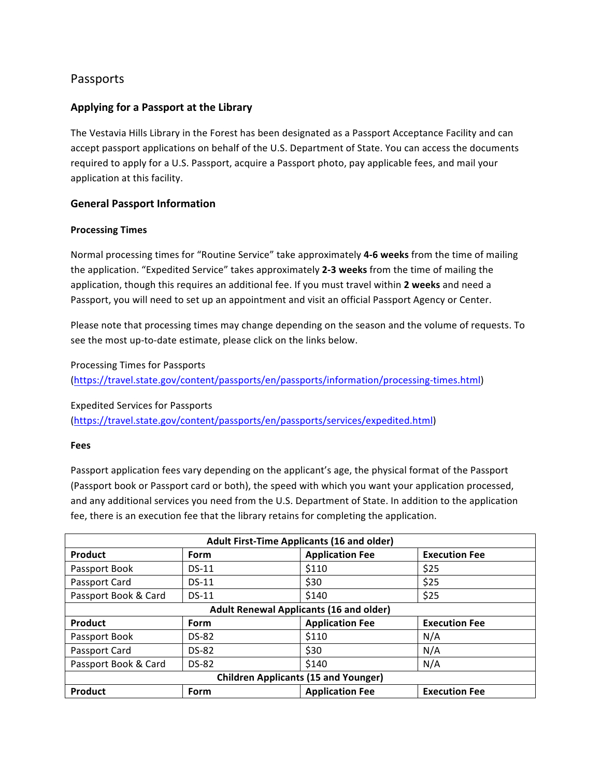# Passports

## Applying for a Passport at the Library

The Vestavia Hills Library in the Forest has been designated as a Passport Acceptance Facility and can accept passport applications on behalf of the U.S. Department of State. You can access the documents required to apply for a U.S. Passport, acquire a Passport photo, pay applicable fees, and mail your application at this facility.

### **General Passport Information**

#### **Processing Times**

Normal processing times for "Routine Service" take approximately 4-6 weeks from the time of mailing the application. "Expedited Service" takes approximately 2-3 weeks from the time of mailing the application, though this requires an additional fee. If you must travel within 2 weeks and need a Passport, you will need to set up an appointment and visit an official Passport Agency or Center.

Please note that processing times may change depending on the season and the volume of requests. To see the most up-to-date estimate, please click on the links below.

#### Processing Times for Passports

(https://travel.state.gov/content/passports/en/passports/information/processing-times.html)

Expedited Services for Passports 

(https://travel.state.gov/content/passports/en/passports/services/expedited.html)

#### **Fees**

Passport application fees vary depending on the applicant's age, the physical format of the Passport (Passport book or Passport card or both), the speed with which you want your application processed, and any additional services you need from the U.S. Department of State. In addition to the application fee, there is an execution fee that the library retains for completing the application.

| <b>Adult First-Time Applicants (16 and older)</b> |              |                        |                      |  |
|---------------------------------------------------|--------------|------------------------|----------------------|--|
| Product                                           | Form         | <b>Application Fee</b> | <b>Execution Fee</b> |  |
| Passport Book                                     | $DS-11$      | \$110                  | \$25                 |  |
| Passport Card                                     | $DS-11$      | \$30                   | \$25                 |  |
| Passport Book & Card                              | $DS-11$      | \$140                  | \$25                 |  |
| <b>Adult Renewal Applicants (16 and older)</b>    |              |                        |                      |  |
| Product                                           | Form         | <b>Application Fee</b> | <b>Execution Fee</b> |  |
| Passport Book                                     | <b>DS-82</b> | \$110                  | N/A                  |  |
| Passport Card                                     | <b>DS-82</b> | \$30                   | N/A                  |  |
| Passport Book & Card                              | <b>DS-82</b> | \$140                  | N/A                  |  |
| <b>Children Applicants (15 and Younger)</b>       |              |                        |                      |  |
| Product                                           | Form         | <b>Application Fee</b> | <b>Execution Fee</b> |  |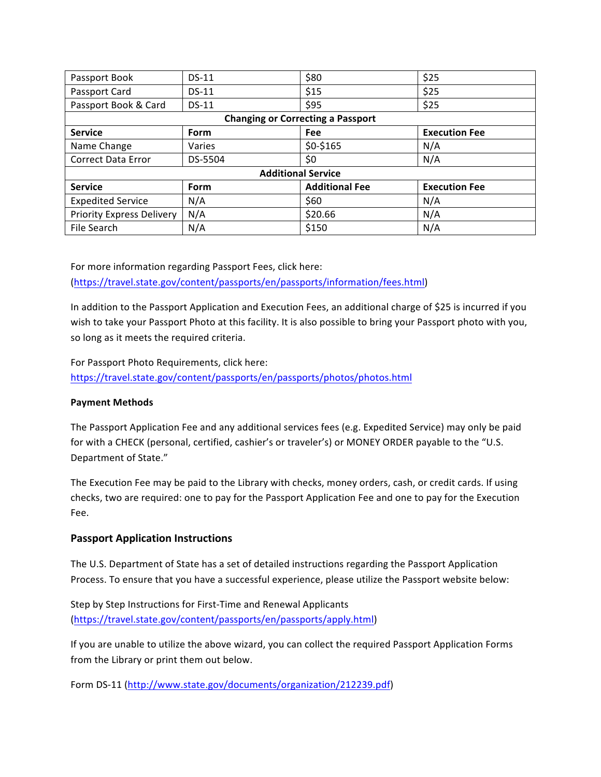| Passport Book                            | $DS-11$     | \$80                  | \$25                 |  |
|------------------------------------------|-------------|-----------------------|----------------------|--|
| Passport Card                            | $DS-11$     | \$15                  | \$25                 |  |
| Passport Book & Card                     | DS-11       | \$95                  | \$25                 |  |
| <b>Changing or Correcting a Passport</b> |             |                       |                      |  |
| <b>Service</b>                           | <b>Form</b> | <b>Fee</b>            | <b>Execution Fee</b> |  |
| Name Change                              | Varies      | \$0-\$165             | N/A                  |  |
| <b>Correct Data Error</b>                | DS-5504     | \$0                   | N/A                  |  |
| <b>Additional Service</b>                |             |                       |                      |  |
| <b>Service</b>                           | <b>Form</b> | <b>Additional Fee</b> | <b>Execution Fee</b> |  |
| <b>Expedited Service</b>                 | N/A         | \$60                  | N/A                  |  |
| <b>Priority Express Delivery</b>         | N/A         | \$20.66               | N/A                  |  |
| File Search                              | N/A         | \$150                 | N/A                  |  |

For more information regarding Passport Fees, click here:

(https://travel.state.gov/content/passports/en/passports/information/fees.html)

In addition to the Passport Application and Execution Fees, an additional charge of \$25 is incurred if you wish to take your Passport Photo at this facility. It is also possible to bring your Passport photo with you, so long as it meets the required criteria.

For Passport Photo Requirements, click here: https://travel.state.gov/content/passports/en/passports/photos/photos.html

## **Payment Methods**

The Passport Application Fee and any additional services fees (e.g. Expedited Service) may only be paid for with a CHECK (personal, certified, cashier's or traveler's) or MONEY ORDER payable to the "U.S. Department of State."

The Execution Fee may be paid to the Library with checks, money orders, cash, or credit cards. If using checks, two are required: one to pay for the Passport Application Fee and one to pay for the Execution Fee. 

## **Passport Application Instructions**

The U.S. Department of State has a set of detailed instructions regarding the Passport Application Process. To ensure that you have a successful experience, please utilize the Passport website below:

Step by Step Instructions for First-Time and Renewal Applicants (https://travel.state.gov/content/passports/en/passports/apply.html)

If you are unable to utilize the above wizard, you can collect the required Passport Application Forms from the Library or print them out below.

Form DS-11 (http://www.state.gov/documents/organization/212239.pdf)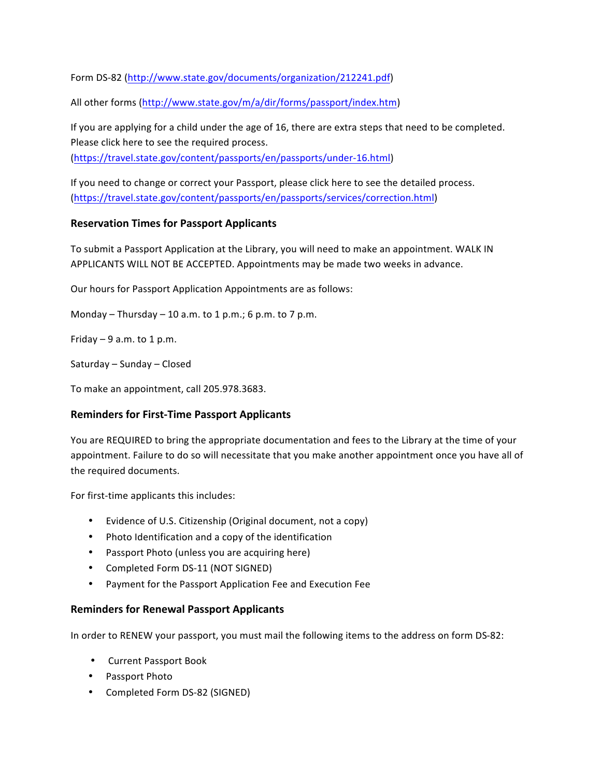Form DS-82 (http://www.state.gov/documents/organization/212241.pdf)

All other forms (http://www.state.gov/m/a/dir/forms/passport/index.htm)

If you are applying for a child under the age of 16, there are extra steps that need to be completed. Please click here to see the required process.

(https://travel.state.gov/content/passports/en/passports/under-16.html)

If you need to change or correct your Passport, please click here to see the detailed process. (https://travel.state.gov/content/passports/en/passports/services/correction.html)

### **Reservation Times for Passport Applicants**

To submit a Passport Application at the Library, you will need to make an appointment. WALK IN APPLICANTS WILL NOT BE ACCEPTED. Appointments may be made two weeks in advance.

Our hours for Passport Application Appointments are as follows:

Monday – Thursday – 10 a.m. to 1 p.m.; 6 p.m. to 7 p.m.

Friday  $-9$  a.m. to 1 p.m.

Saturday – Sunday – Closed 

To make an appointment, call 205.978.3683.

### **Reminders for First-Time Passport Applicants**

You are REQUIRED to bring the appropriate documentation and fees to the Library at the time of your appointment. Failure to do so will necessitate that you make another appointment once you have all of the required documents.

For first-time applicants this includes:

- Evidence of U.S. Citizenship (Original document, not a copy)
- Photo Identification and a copy of the identification
- Passport Photo (unless you are acquiring here)
- Completed Form DS-11 (NOT SIGNED)
- Payment for the Passport Application Fee and Execution Fee

### **Reminders for Renewal Passport Applicants**

In order to RENEW your passport, you must mail the following items to the address on form DS-82:

- Current Passport Book
- Passport Photo
- Completed Form DS-82 (SIGNED)